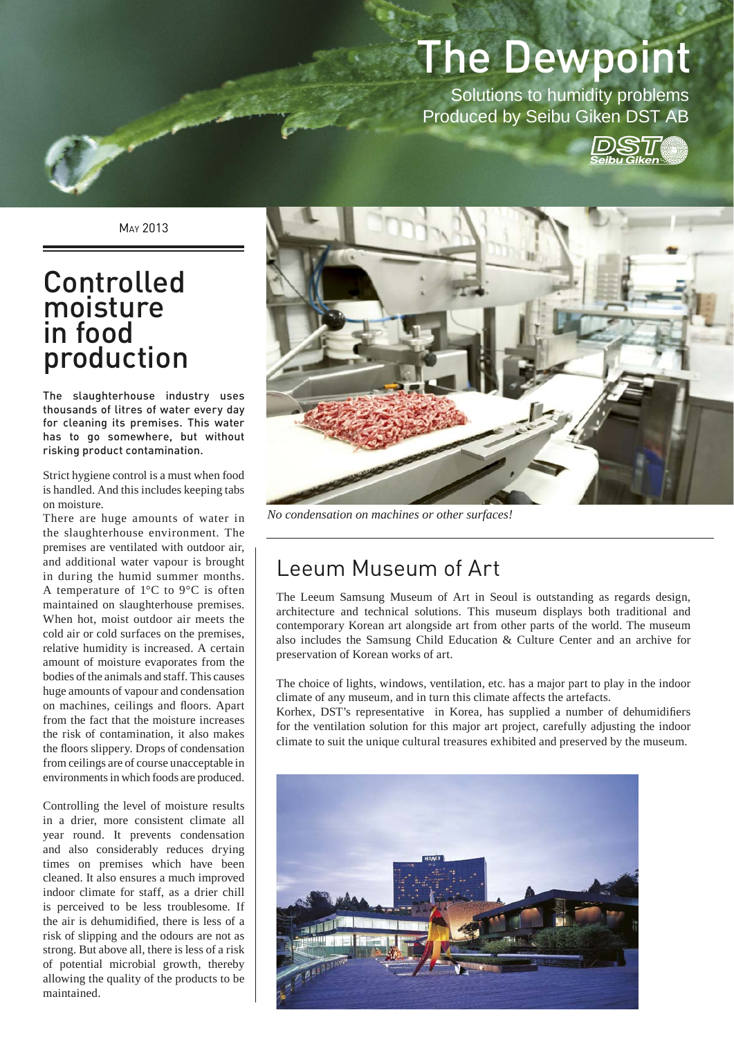# The Dewpoint

Solutions to humidity problems Produced by Seibu Giken DST AB



MAY 2013

## Controlled moisture in food production

The slaughterhouse industry uses thousands of litres of water every day for cleaning its premises. This water has to go somewhere, but without risking product contamination.

Strict hygiene control is a must when food is handled. And this includes keeping tabs on moisture.

There are huge amounts of water in the slaughterhouse environment. The premises are ventilated with outdoor air, and additional water vapour is brought in during the humid summer months. A temperature of 1°C to 9°C is often maintained on slaughterhouse premises. When hot, moist outdoor air meets the cold air or cold surfaces on the premises, relative humidity is increased. A certain amount of moisture evaporates from the bodies of the animals and staff. This causes huge amounts of vapour and condensation on machines, ceilings and floors. Apart from the fact that the moisture increases the risk of contamination, it also makes the floors slippery. Drops of condensation from ceilings are of course unacceptable in environments in which foods are produced.

Controlling the level of moisture results in a drier, more consistent climate all year round. It prevents condensation and also considerably reduces drying times on premises which have been cleaned. It also ensures a much improved indoor climate for staff, as a drier chill is perceived to be less troublesome. If the air is dehumidified, there is less of a risk of slipping and the odours are not as strong. But above all, there is less of a risk of potential microbial growth, thereby allowing the quality of the products to be maintained.



*No condensation on machines or other surfaces!*

### Leeum Museum of Art

The Leeum Samsung Museum of Art in Seoul is outstanding as regards design, architecture and technical solutions. This museum displays both traditional and contemporary Korean art alongside art from other parts of the world. The museum also includes the Samsung Child Education & Culture Center and an archive for preservation of Korean works of art.

The choice of lights, windows, ventilation, etc. has a major part to play in the indoor climate of any museum, and in turn this climate affects the artefacts.

Korhex, DST's representative in Korea, has supplied a number of dehumidifiers for the ventilation solution for this major art project, carefully adjusting the indoor climate to suit the unique cultural treasures exhibited and preserved by the museum.